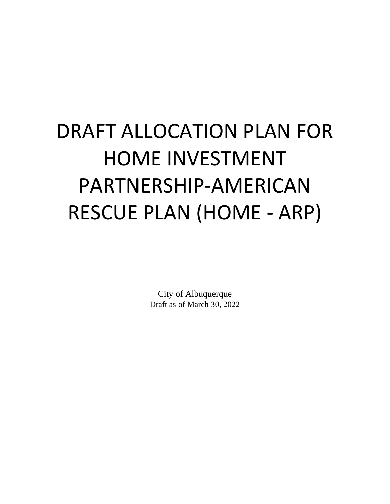# DRAFT ALLOCATION PLAN FOR HOME INVESTMENT PARTNERSHIP-AMERICAN RESCUE PLAN (HOME - ARP)

City of Albuquerque Draft as of March 30, 2022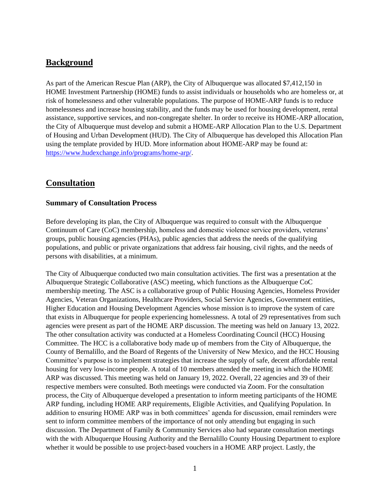# **Background**

As part of the American Rescue Plan (ARP), the City of Albuquerque was allocated \$7,412,150 in HOME Investment Partnership (HOME) funds to assist individuals or households who are homeless or, at risk of homelessness and other vulnerable populations. The purpose of HOME-ARP funds is to reduce homelessness and increase housing stability, and the funds may be used for housing development, rental assistance, supportive services, and non-congregate shelter. In order to receive its HOME-ARP allocation, the City of Albuquerque must develop and submit a HOME-ARP Allocation Plan to the U.S. Department of Housing and Urban Development (HUD). The City of Albuquerque has developed this Allocation Plan using the template provided by HUD. More information about HOME-ARP may be found at: [https://www.hudexchange.info/programs/home-arp/.](https://www.hudexchange.info/programs/home-arp/)

## **Consultation**

#### **Summary of Consultation Process**

Before developing its plan, the City of Albuquerque was required to consult with the Albuquerque Continuum of Care (CoC) membership, homeless and domestic violence service providers, veterans' groups, public housing agencies (PHAs), public agencies that address the needs of the qualifying populations, and public or private organizations that address fair housing, civil rights, and the needs of persons with disabilities, at a minimum.

The City of Albuquerque conducted two main consultation activities. The first was a presentation at the Albuquerque Strategic Collaborative (ASC) meeting, which functions as the Albuquerque CoC membership meeting. The ASC is a collaborative group of Public Housing Agencies, Homeless Provider Agencies, Veteran Organizations, Healthcare Providers, Social Service Agencies, Government entities, Higher Education and Housing Development Agencies whose mission is to improve the system of care that exists in Albuquerque for people experiencing homelessness. A total of 29 representatives from such agencies were present as part of the HOME ARP discussion. The meeting was held on January 13, 2022. The other consultation activity was conducted at a Homeless Coordinating Council (HCC) Housing Committee. The HCC is a collaborative body made up of members from the City of Albuquerque, the County of Bernalillo, and the Board of Regents of the University of New Mexico, and the HCC Housing Committee's purpose is to implement strategies that increase the supply of safe, decent affordable rental housing for very low-income people. A total of 10 members attended the meeting in which the HOME ARP was discussed. This meeting was held on January 19, 2022. Overall, 22 agencies and 39 of their respective members were consulted. Both meetings were conducted via Zoom. For the consultation process, the City of Albuquerque developed a presentation to inform meeting participants of the HOME ARP funding, including HOME ARP requirements, Eligible Activities, and Qualifying Population. In addition to ensuring HOME ARP was in both committees' agenda for discussion, email reminders were sent to inform committee members of the importance of not only attending but engaging in such discussion. The Department of Family & Community Services also had separate consultation meetings with the with Albuquerque Housing Authority and the Bernalillo County Housing Department to explore whether it would be possible to use project-based vouchers in a HOME ARP project. Lastly, the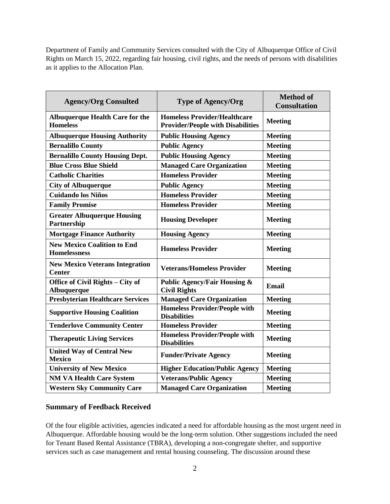Department of Family and Community Services consulted with the City of Albuquerque Office of Civil Rights on March 15, 2022, regarding fair housing, civil rights, and the needs of persons with disabilities as it applies to the Allocation Plan.

| <b>Agency/Org Consulted</b>                               | <b>Type of Agency/Org</b>                                                       | <b>Method of</b><br><b>Consultation</b> |  |
|-----------------------------------------------------------|---------------------------------------------------------------------------------|-----------------------------------------|--|
| <b>Albuquerque Health Care for the</b><br><b>Homeless</b> | <b>Homeless Provider/Healthcare</b><br><b>Provider/People with Disabilities</b> | <b>Meeting</b>                          |  |
| <b>Albuquerque Housing Authority</b>                      | <b>Public Housing Agency</b>                                                    | <b>Meeting</b>                          |  |
| <b>Bernalillo County</b>                                  | <b>Public Agency</b>                                                            | <b>Meeting</b>                          |  |
| <b>Bernalillo County Housing Dept.</b>                    | <b>Public Housing Agency</b>                                                    | <b>Meeting</b>                          |  |
| <b>Blue Cross Blue Shield</b>                             | <b>Managed Care Organization</b>                                                | <b>Meeting</b>                          |  |
| <b>Catholic Charities</b>                                 | <b>Homeless Provider</b>                                                        | <b>Meeting</b>                          |  |
| <b>City of Albuquerque</b>                                | <b>Public Agency</b>                                                            | <b>Meeting</b>                          |  |
| <b>Cuidando los Niños</b>                                 | <b>Homeless Provider</b>                                                        | <b>Meeting</b>                          |  |
| <b>Family Promise</b>                                     | <b>Homeless Provider</b>                                                        | <b>Meeting</b>                          |  |
| <b>Greater Albuquerque Housing</b><br>Partnership         | <b>Housing Developer</b>                                                        | <b>Meeting</b>                          |  |
| <b>Mortgage Finance Authority</b>                         | <b>Housing Agency</b>                                                           | <b>Meeting</b>                          |  |
| <b>New Mexico Coalition to End</b><br><b>Homelessness</b> | <b>Homeless Provider</b>                                                        | <b>Meeting</b>                          |  |
| <b>New Mexico Veterans Integration</b><br><b>Center</b>   | <b>Veterans/Homeless Provider</b>                                               | <b>Meeting</b>                          |  |
| Office of Civil Rights - City of<br>Albuquerque           | <b>Public Agency/Fair Housing &amp;</b><br><b>Civil Rights</b>                  | Email                                   |  |
| <b>Presbyterian Healthcare Services</b>                   | <b>Managed Care Organization</b>                                                | <b>Meeting</b>                          |  |
| <b>Supportive Housing Coalition</b>                       | <b>Homeless Provider/People with</b><br><b>Disabilities</b>                     | <b>Meeting</b>                          |  |
| <b>Tenderlove Community Center</b>                        | <b>Homeless Provider</b>                                                        | <b>Meeting</b>                          |  |
| <b>Therapeutic Living Services</b>                        | <b>Homeless Provider/People with</b><br><b>Disabilities</b>                     | <b>Meeting</b>                          |  |
| <b>United Way of Central New</b><br><b>Mexico</b>         | <b>Funder/Private Agency</b>                                                    | <b>Meeting</b>                          |  |
| <b>University of New Mexico</b>                           | <b>Higher Education/Public Agency</b>                                           | <b>Meeting</b>                          |  |
| <b>NM VA Health Care System</b>                           | <b>Veterans/Public Agency</b>                                                   | <b>Meeting</b>                          |  |
| <b>Western Sky Community Care</b>                         | <b>Managed Care Organization</b>                                                | <b>Meeting</b>                          |  |

## **Summary of Feedback Received**

Of the four eligible activities, agencies indicated a need for affordable housing as the most urgent need in Albuquerque. Affordable housing would be the long-term solution. Other suggestions included the need for Tenant Based Rental Assistance (TBRA), developing a non-congregate shelter, and supportive services such as case management and rental housing counseling. The discussion around these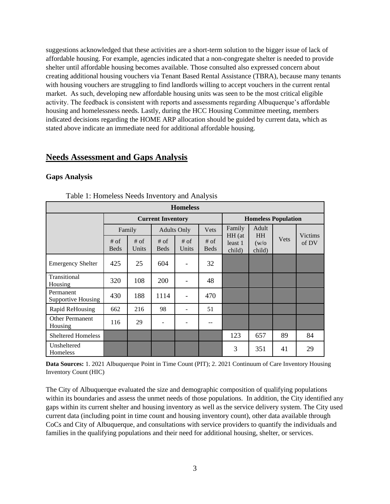suggestions acknowledged that these activities are a short-term solution to the bigger issue of lack of affordable housing. For example, agencies indicated that a non-congregate shelter is needed to provide shelter until affordable housing becomes available. Those consulted also expressed concern about creating additional housing vouchers via Tenant Based Rental Assistance (TBRA), because many tenants with housing vouchers are struggling to find landlords willing to accept vouchers in the current rental market. As such, developing new affordable housing units was seen to be the most critical eligible activity. The feedback is consistent with reports and assessments regarding Albuquerque's affordable housing and homelessness needs. Lastly, during the HCC Housing Committee meeting, members indicated decisions regarding the HOME ARP allocation should be guided by current data, which as stated above indicate an immediate need for additional affordable housing.

## **Needs Assessment and Gaps Analysis**

#### **Gaps Analysis**

| <b>Homeless</b>                        |                          |                 |                       |                            |                     |                                          |                 |                                 |    |
|----------------------------------------|--------------------------|-----------------|-----------------------|----------------------------|---------------------|------------------------------------------|-----------------|---------------------------------|----|
|                                        | <b>Current Inventory</b> |                 |                       | <b>Homeless Population</b> |                     |                                          |                 |                                 |    |
|                                        |                          | Family          |                       | <b>Adults Only</b>         | Vets                | Family                                   | Adult           | <b>Victims</b><br>Vets<br>of DV |    |
|                                        | $#$ of<br><b>Beds</b>    | $#$ of<br>Units | $#$ of<br><b>Beds</b> | $#$ of<br>Units            | # of<br><b>Beds</b> | HH (at<br><b>HH</b><br>least 1<br>child) | (w/o)<br>child) |                                 |    |
| <b>Emergency Shelter</b>               | 425                      | 25              | 604                   |                            | 32                  |                                          |                 |                                 |    |
| Transitional<br>Housing                | 320                      | 108             | 200                   |                            | 48                  |                                          |                 |                                 |    |
| Permanent<br><b>Supportive Housing</b> | 430                      | 188             | 1114                  |                            | 470                 |                                          |                 |                                 |    |
| Rapid ReHousing                        | 662                      | 216             | 98                    |                            | 51                  |                                          |                 |                                 |    |
| <b>Other Permanent</b><br>Housing      | 116                      | 29              | $\qquad \qquad$       |                            | --                  |                                          |                 |                                 |    |
| <b>Sheltered Homeless</b>              |                          |                 |                       |                            |                     | 123                                      | 657             | 89                              | 84 |
| Unsheltered<br>Homeless                |                          |                 |                       |                            |                     | 3                                        | 351             | 41                              | 29 |

Table 1: Homeless Needs Inventory and Analysis

**Data Sources:** 1. 2021 Albuquerque Point in Time Count (PIT); 2. 2021 Continuum of Care Inventory Housing Inventory Count (HIC)

The City of Albuquerque evaluated the size and demographic composition of qualifying populations within its boundaries and assess the unmet needs of those populations. In addition, the City identified any gaps within its current shelter and housing inventory as well as the service delivery system. The City used current data (including point in time count and housing inventory count), other data available through CoCs and City of Albuquerque, and consultations with service providers to quantify the individuals and families in the qualifying populations and their need for additional housing, shelter, or services.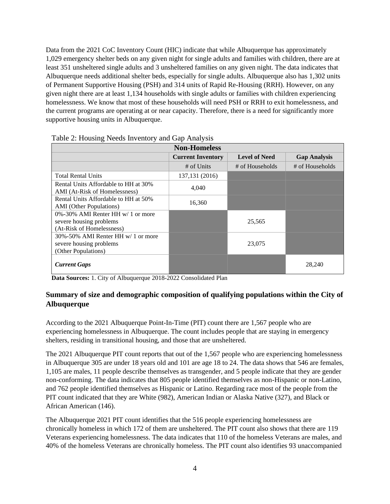Data from the 2021 CoC Inventory Count (HIC) indicate that while Albuquerque has approximately 1,029 emergency shelter beds on any given night for single adults and families with children, there are at least 351 unsheltered single adults and 3 unsheltered families on any given night. The data indicates that Albuquerque needs additional shelter beds, especially for single adults. Albuquerque also has 1,302 units of Permanent Supportive Housing (PSH) and 314 units of Rapid Re-Housing (RRH). However, on any given night there are at least 1,134 households with single adults or families with children experiencing homelessness. We know that most of these households will need PSH or RRH to exit homelessness, and the current programs are operating at or near capacity. Therefore, there is a need for significantly more supportive housing units in Albuquerque.

| <b>Non-Homeless</b>                                                                       |                          |                      |                     |  |  |
|-------------------------------------------------------------------------------------------|--------------------------|----------------------|---------------------|--|--|
|                                                                                           | <b>Current Inventory</b> | <b>Level of Need</b> | <b>Gap Analysis</b> |  |  |
|                                                                                           | # of Units               | # of Households      | # of Households     |  |  |
| <b>Total Rental Units</b>                                                                 | 137, 131 (2016)          |                      |                     |  |  |
| Rental Units Affordable to HH at 30%<br>AMI (At-Risk of Homelessness)                     | 4.040                    |                      |                     |  |  |
| Rental Units Affordable to HH at 50%<br><b>AMI</b> (Other Populations)                    | 16,360                   |                      |                     |  |  |
| 0%-30% AMI Renter HH w/ 1 or more<br>severe housing problems<br>(At-Risk of Homelessness) |                          | 25,565               |                     |  |  |
| 30%-50% AMI Renter HH w/ 1 or more<br>severe housing problems<br>(Other Populations)      |                          | 23,075               |                     |  |  |
| <b>Current Gaps</b>                                                                       |                          |                      | 28,240              |  |  |

**Data Sources:** 1. City of Albuquerque 2018-2022 Consolidated Plan

## **Summary of size and demographic composition of qualifying populations within the City of Albuquerque**

According to the 2021 Albuquerque Point-In-Time (PIT) count there are 1,567 people who are experiencing homelessness in Albuquerque. The count includes people that are staying in emergency shelters, residing in transitional housing, and those that are unsheltered.

The 2021 Albuquerque PIT count reports that out of the 1,567 people who are experiencing homelessness in Albuquerque 305 are under 18 years old and 101 are age 18 to 24. The data shows that 546 are females, 1,105 are males, 11 people describe themselves as transgender, and 5 people indicate that they are gender non-conforming. The data indicates that 805 people identified themselves as non-Hispanic or non-Latino, and 762 people identified themselves as Hispanic or Latino. Regarding race most of the people from the PIT count indicated that they are White (982), American Indian or Alaska Native (327), and Black or African American (146).

The Albuquerque 2021 PIT count identifies that the 516 people experiencing homelessness are chronically homeless in which 172 of them are unsheltered. The PIT count also shows that there are 119 Veterans experiencing homelessness. The data indicates that 110 of the homeless Veterans are males, and 40% of the homeless Veterans are chronically homeless. The PIT count also identifies 93 unaccompanied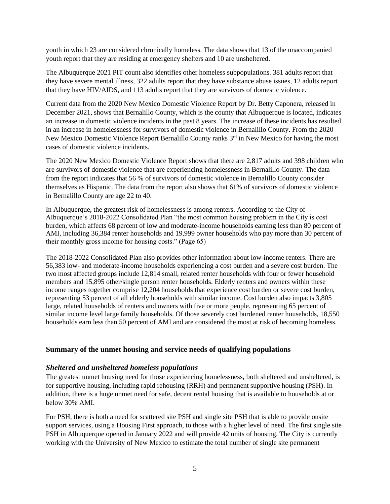youth in which 23 are considered chronically homeless. The data shows that 13 of the unaccompanied youth report that they are residing at emergency shelters and 10 are unsheltered.

The Albuquerque 2021 PIT count also identifies other homeless subpopulations. 381 adults report that they have severe mental illness, 322 adults report that they have substance abuse issues, 12 adults report that they have HIV/AIDS, and 113 adults report that they are survivors of domestic violence.

Current data from the 2020 New Mexico Domestic Violence Report by Dr. Betty Caponera, released in December 2021, shows that Bernalillo County, which is the county that Albuquerque is located, indicates an increase in domestic violence incidents in the past 8 years. The increase of these incidents has resulted in an increase in homelessness for survivors of domestic violence in Bernalillo County. From the 2020 New Mexico Domestic Violence Report Bernalillo County ranks 3<sup>rd</sup> in New Mexico for having the most cases of domestic violence incidents.

The 2020 New Mexico Domestic Violence Report shows that there are 2,817 adults and 398 children who are survivors of domestic violence that are experiencing homelessness in Bernalillo County. The data from the report indicates that 56 % of survivors of domestic violence in Bernalillo County consider themselves as Hispanic. The data from the report also shows that 61% of survivors of domestic violence in Bernalillo County are age 22 to 40.

In Albuquerque, the greatest risk of homelessness is among renters. According to the City of Albuquerque's 2018-2022 Consolidated Plan "the most common housing problem in the City is cost burden, which affects 68 percent of low and moderate-income households earning less than 80 percent of AMI, including 36,384 renter households and 19,999 owner households who pay more than 30 percent of their monthly gross income for housing costs." (Page 65)

The 2018-2022 Consolidated Plan also provides other information about low-income renters. There are 56,383 low- and moderate-income households experiencing a cost burden and a severe cost burden. The two most affected groups include 12,814 small, related renter households with four or fewer household members and 15,895 other/single person renter households. Elderly renters and owners within these income ranges together comprise 12,204 households that experience cost burden or severe cost burden, representing 53 percent of all elderly households with similar income. Cost burden also impacts 3,805 large, related households of renters and owners with five or more people, representing 65 percent of similar income level large family households. Of those severely cost burdened renter households, 18,550 households earn less than 50 percent of AMI and are considered the most at risk of becoming homeless.

#### **Summary of the unmet housing and service needs of qualifying populations**

#### *Sheltered and unsheltered homeless populations*

The greatest unmet housing need for those experiencing homelessness, both sheltered and unsheltered, is for supportive housing, including rapid rehousing (RRH) and permanent supportive housing (PSH). In addition, there is a huge unmet need for safe, decent rental housing that is available to households at or below 30% AMI.

For PSH, there is both a need for scattered site PSH and single site PSH that is able to provide onsite support services, using a Housing First approach, to those with a higher level of need. The first single site PSH in Albuquerque opened in January 2022 and will provide 42 units of housing. The City is currently working with the University of New Mexico to estimate the total number of single site permanent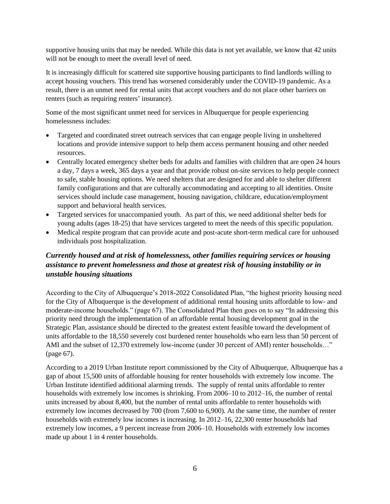supportive housing units that may be needed. While this data is not yet available, we know that 42 units will not be enough to meet the overall level of need.

It is increasingly difficult for scattered site supportive housing participants to find landlords willing to accept housing vouchers. This trend has worsened considerably under the COVID-19 pandemic. As a result, there is an unmet need for rental units that accept vouchers and do not place other barriers on renters (such as requiring renters' insurance).

Some of the most significant unmet need for services in Albuquerque for people experiencing homelessness includes:

- Targeted and coordinated street outreach services that can engage people living in unsheltered locations and provide intensive support to help them access permanent housing and other needed resources.
- Centrally located emergency shelter beds for adults and families with children that are open 24 hours a day, 7 days a week, 365 days a year and that provide robust on-site services to help people connect to safe, stable housing options. We need shelters that are designed for and able to shelter different family configurations and that are culturally accommodating and accepting to all identities. Onsite services should include case management, housing navigation, childcare, education/employment support and behavioral health services.
- Targeted services for unaccompanied youth. As part of this, we need additional shelter beds for young adults (ages 18-25) that have services targeted to meet the needs of this specific population.
- Medical respite program that can provide acute and post-acute short-term medical care for unhoused individuals post hospitalization.

## *Currently housed and at risk of homelessness, other families requiring services or housing assistance to prevent homelessness and those at greatest risk of housing instability or in unstable housing situations*

According to the City of Albuquerque's 2018-2022 Consolidated Plan, "the highest priority housing need for the City of Albuquerque is the development of additional rental housing units affordable to low- and moderate-income households." (page 67). The Consolidated Plan then goes on to say "In addressing this priority need through the implementation of an affordable rental housing development goal in the Strategic Plan, assistance should be directed to the greatest extent feasible toward the development of units affordable to the 18,550 severely cost burdened renter households who earn less than 50 percent of AMI and the subset of 12,370 extremely low-income (under 30 percent of AMI) renter households..." (page 67).

According to a 2019 Urban Institute report commissioned by the City of Albuquerque, Albuquerque has a gap of about 15,500 units of affordable housing for renter households with extremely low income. The Urban Institute identified additional alarming trends. The supply of rental units affordable to renter households with extremely low incomes is shrinking. From 2006–10 to 2012–16, the number of rental units increased by about 8,400, but the number of rental units affordable to renter households with extremely low incomes decreased by 700 (from 7,600 to 6,900). At the same time, the number of renter households with extremely low incomes is increasing. In 2012–16, 22,300 renter households had extremely low incomes, a 9 percent increase from 2006–10. Households with extremely low incomes made up about 1 in 4 renter households.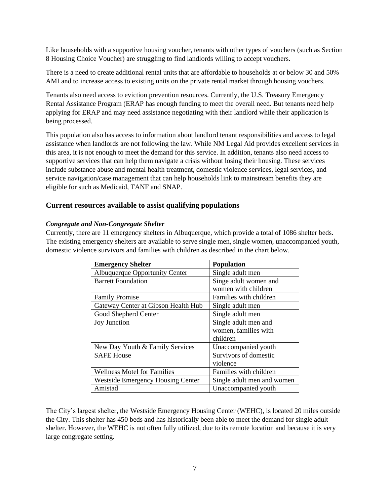Like households with a supportive housing voucher, tenants with other types of vouchers (such as Section 8 Housing Choice Voucher) are struggling to find landlords willing to accept vouchers.

There is a need to create additional rental units that are affordable to households at or below 30 and 50% AMI and to increase access to existing units on the private rental market through housing vouchers.

Tenants also need access to eviction prevention resources. Currently, the U.S. Treasury Emergency Rental Assistance Program (ERAP has enough funding to meet the overall need. But tenants need help applying for ERAP and may need assistance negotiating with their landlord while their application is being processed.

This population also has access to information about landlord tenant responsibilities and access to legal assistance when landlords are not following the law. While NM Legal Aid provides excellent services in this area, it is not enough to meet the demand for this service. In addition, tenants also need access to supportive services that can help them navigate a crisis without losing their housing. These services include substance abuse and mental health treatment, domestic violence services, legal services, and service navigation/case management that can help households link to mainstream benefits they are eligible for such as Medicaid, TANF and SNAP.

#### **Current resources available to assist qualifying populations**

#### *Congregate and Non-Congregate Shelter*

Currently, there are 11 emergency shelters in Albuquerque, which provide a total of 1086 shelter beds. The existing emergency shelters are available to serve single men, single women, unaccompanied youth, domestic violence survivors and families with children as described in the chart below.

| <b>Emergency Shelter</b>                 | <b>Population</b>          |
|------------------------------------------|----------------------------|
| <b>Albuquerque Opportunity Center</b>    | Single adult men           |
| <b>Barrett Foundation</b>                | Singe adult women and      |
|                                          | women with children        |
| <b>Family Promise</b>                    | Families with children     |
| Gateway Center at Gibson Health Hub      | Single adult men           |
| Good Shepherd Center                     | Single adult men           |
| <b>Joy Junction</b>                      | Single adult men and       |
|                                          | women, families with       |
|                                          | children                   |
| New Day Youth & Family Services          | Unaccompanied youth        |
| <b>SAFE House</b>                        | Survivors of domestic      |
|                                          | violence                   |
| <b>Wellness Motel for Families</b>       | Families with children     |
| <b>Westside Emergency Housing Center</b> | Single adult men and women |
| Amistad                                  | Unaccompanied youth        |

The City's largest shelter, the Westside Emergency Housing Center (WEHC), is located 20 miles outside the City. This shelter has 450 beds and has historically been able to meet the demand for single adult shelter. However, the WEHC is not often fully utilized, due to its remote location and because it is very large congregate setting.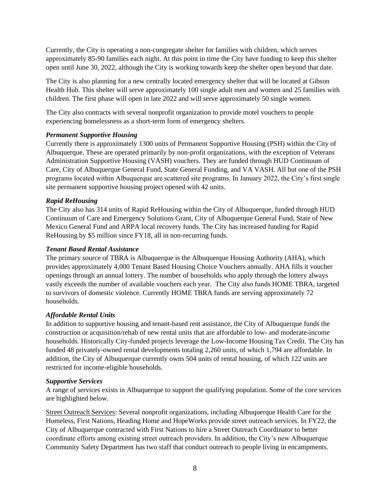Currently, the City is operating a non-congregate shelter for families with children, which serves approximately 85-90 families each night. At this point in time the City have funding to keep this shelter open until June 30, 2022, although the City is working towards keep the shelter open beyond that date.

The City is also planning for a new centrally located emergency shelter that will be located at Gibson Health Hub. This shelter will serve approximately 100 single adult men and women and 25 families with children. The first phase will open in late 2022 and will serve approximately 50 single women.

The City also contracts with several nonprofit organization to provide motel vouchers to people experiencing homelessness as a short-term form of emergency shelters.

## *Permanent Supportive Housing*

Currently there is approximately 1300 units of Permanent Supportive Housing (PSH) within the City of Albuquerque. These are operated primarily by non-profit organizations, with the exception of Veterans Administration Supportive Housing (VASH) vouchers. They are funded through HUD Continuum of Care, City of Albuquerque General Fund, State General Funding, and VA VASH. All but one of the PSH programs located within Albuquerque are scattered site programs. In January 2022, the City's first single site permanent supportive housing project opened with 42 units.

#### *Rapid ReHousing*

The City also has 314 units of Rapid ReHousing within the City of Albuquerque, funded through HUD Continuum of Care and Emergency Solutions Grant, City of Albuquerque General Fund, State of New Mexico General Fund and ARPA local recovery funds. The City has increased funding for Rapid ReHousing by \$5 million since FY18, all in non-recurring funds.

#### *Tenant Based Rental Assistance*

The primary source of TBRA is Albuquerque is the Albuquerque Housing Authority (AHA), which provides approximately 4,000 Tenant Based Housing Choice Vouchers annually. AHA fills it voucher openings through an annual lottery. The number of households who apply through the lottery always vastly exceeds the number of available vouchers each year. The City also funds HOME TBRA, targeted to survivors of domestic violence. Currently HOME TBRA funds are serving approximately 72 households.

## *Affordable Rental Units*

In addition to supportive housing and tenant-based rent assistance, the City of Albuquerque funds the construction or acquisition/rehab of new rental units that are affordable to low- and moderate-income households. Historically City-funded projects leverage the Low-Income Housing Tax Credit. The City has funded 48 privately-owned rental developments totaling 2,260 units, of which 1,794 are affordable. In addition, the City of Albuquerque currently owns 504 units of rental housing, of which 122 units are restricted for income-eligible households.

#### *Supportive Services*

A range of services exists in Albuquerque to support the qualifying population. Some of the core services are highlighted below.

Street Outreach Services: Several nonprofit organizations, including Albuquerque Health Care for the Homeless, First Nations, Heading Home and HopeWorks provide street outreach services. In FY22, the City of Albuquerque contracted with First Nations to hire a Street Outreach Coordinator to better coordinate efforts among existing street outreach providers. In addition, the City's new Albuquerque Community Safety Department has two staff that conduct outreach to people living in encampments.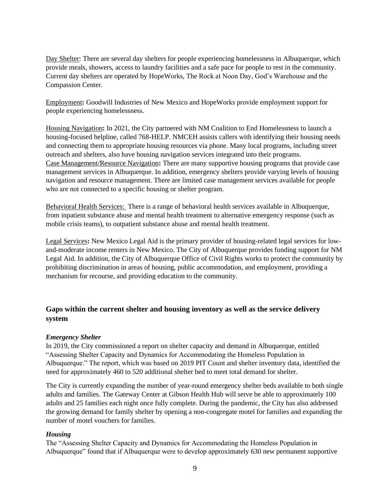Day Shelter: There are several day shelters for people experiencing homelessness in Albuquerque, which provide meals, showers, access to laundry facilities and a safe pace for people to rest in the community. Current day shelters are operated by HopeWorks, The Rock at Noon Day, God's Warehouse and the Compassion Center.

Employment**:** Goodwill Industries of New Mexico and HopeWorks provide employment support for people experiencing homelessness.

Housing Navigation**:** In 2021, the City partnered with NM Coalition to End Homelessness to launch a housing-focused helpline, called 768-HELP. NMCEH assists callers with identifying their housing needs and connecting them to appropriate housing resources via phone. Many local programs, including street outreach and shelters, also have housing navigation services integrated into their programs. Case Management/Resource Navigation**:** There are many supportive housing programs that provide case management services in Albuquerque. In addition, emergency shelters provide varying levels of housing navigation and resource management. There are limited case management services available for people who are not connected to a specific housing or shelter program.

Behavioral Health Services: There is a range of behavioral health services available in Albuquerque, from inpatient substance abuse and mental health treatment to alternative emergency response (such as mobile crisis teams), to outpatient substance abuse and mental health treatment.

Legal Services**:** New Mexico Legal Aid is the primary provider of housing-related legal services for lowand-moderate income renters in New Mexico. The City of Albuquerque provides funding support for NM Legal Aid. In addition, the City of Albuquerque Office of Civil Rights works to protect the community by prohibiting discrimination in areas of housing, public accommodation, and employment, providing a mechanism for recourse, and providing education to the community.

## **Gaps within the current shelter and housing inventory as well as the service delivery system**

#### *Emergency Shelter*

In 2019, the City commissioned a report on shelter capacity and demand in Albuquerque, entitled "Assessing Shelter Capacity and Dynamics for Accommodating the Homeless Population in Albuquerque." The report, which was based on 2019 PIT Count and shelter inventory data, identified the need for approximately 460 to 520 additional shelter bed to meet total demand for shelter.

The City is currently expanding the number of year-round emergency shelter beds available to both single adults and families. The Gateway Center at Gibson Health Hub will serve be able to approximately 100 adults and 25 families each night once fully complete. During the pandemic, the City has also addressed the growing demand for family shelter by opening a non-congregate motel for families and expanding the number of motel vouchers for families.

#### *Housing*

The "Assessing Shelter Capacity and Dynamics for Accommodating the Homeless Population in Albuquerque" found that if Albuquerque were to develop approximately 630 new permanent supportive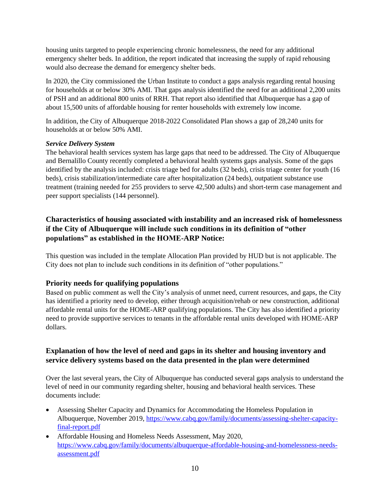housing units targeted to people experiencing chronic homelessness, the need for any additional emergency shelter beds. In addition, the report indicated that increasing the supply of rapid rehousing would also decrease the demand for emergency shelter beds.

In 2020, the City commissioned the Urban Institute to conduct a gaps analysis regarding rental housing for households at or below 30% AMI. That gaps analysis identified the need for an additional 2,200 units of PSH and an additional 800 units of RRH. That report also identified that Albuquerque has a gap of about 15,500 units of affordable housing for renter households with extremely low income.

In addition, the City of Albuquerque 2018-2022 Consolidated Plan shows a gap of 28,240 units for households at or below 50% AMI.

## *Service Delivery System*

The behavioral health services system has large gaps that need to be addressed. The City of Albuquerque and Bernalillo County recently completed a behavioral health systems gaps analysis. Some of the gaps identified by the analysis included: crisis triage bed for adults (32 beds), crisis triage center for youth (16 beds), crisis stabilization/intermediate care after hospitalization (24 beds), outpatient substance use treatment (training needed for 255 providers to serve 42,500 adults) and short-term case management and peer support specialists (144 personnel).

## **Characteristics of housing associated with instability and an increased risk of homelessness if the City of Albuquerque will include such conditions in its definition of "other populations" as established in the HOME-ARP Notice:**

This question was included in the template Allocation Plan provided by HUD but is not applicable. The City does not plan to include such conditions in its definition of "other populations."

## **Priority needs for qualifying populations**

Based on public comment as well the City's analysis of unmet need, current resources, and gaps, the City has identified a priority need to develop, either through acquisition/rehab or new construction, additional affordable rental units for the HOME-ARP qualifying populations. The City has also identified a priority need to provide supportive services to tenants in the affordable rental units developed with HOME-ARP dollars.

## **Explanation of how the level of need and gaps in its shelter and housing inventory and service delivery systems based on the data presented in the plan were determined**

Over the last several years, the City of Albuquerque has conducted several gaps analysis to understand the level of need in our community regarding shelter, housing and behavioral health services. These documents include:

- Assessing Shelter Capacity and Dynamics for Accommodating the Homeless Population in Albuquerque, November 2019, [https://www.cabq.gov/family/documents/assessing-shelter-capacity](https://www.cabq.gov/family/documents/assessing-shelter-capacity-final-report.pdf)[final-report.pdf](https://www.cabq.gov/family/documents/assessing-shelter-capacity-final-report.pdf)
- Affordable Housing and Homeless Needs Assessment, May 2020, [https://www.cabq.gov/family/documents/albuquerque-affordable-housing-and-homelessness-needs](https://www.cabq.gov/family/documents/albuquerque-affordable-housing-and-homelessness-needs-assessment.pdf)[assessment.pdf](https://www.cabq.gov/family/documents/albuquerque-affordable-housing-and-homelessness-needs-assessment.pdf)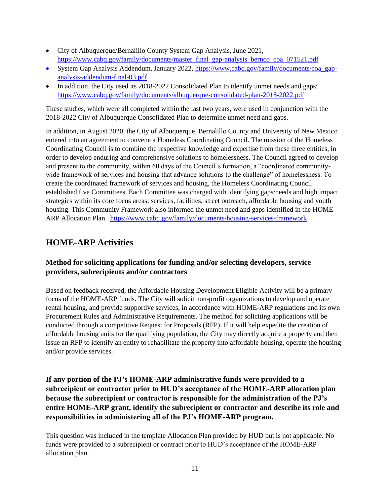- City of Albuquerque/Bernalillo County System Gap Analysis, June 2021, [https://www.cabq.gov/family/documents/master\\_final\\_gap-analysis\\_bernco\\_coa\\_071521.pdf](https://www.cabq.gov/family/documents/master_final_gap-analysis_bernco_coa_071521.pdf)
- System Gap Analysis Addendum, January 2022, [https://www.cabq.gov/family/documents/coa\\_gap](https://www.cabq.gov/family/documents/coa_gap-analysis-addendum-final-03.pdf)[analysis-addendum-final-03.pdf](https://www.cabq.gov/family/documents/coa_gap-analysis-addendum-final-03.pdf)
- In addition, the City used its 2018-2022 Consolidated Plan to identify unmet needs and gaps: <https://www.cabq.gov/family/documents/albuquerque-consolidated-plan-2018-2022.pdf>

These studies, which were all completed within the last two years, were used in conjunction with the 2018-2022 City of Albuquerque Consolidated Plan to determine unmet need and gaps.

In addition, in August 2020, the City of Albuquerque, Bernalillo County and University of New Mexico entered into an agreement to convene a Homeless Coordinating Council. The mission of the Homeless Coordinating Council is to combine the respective knowledge and expertise from these three entities, in order to develop enduring and comprehensive solutions to homelessness. The Council agreed to develop and present to the community, within 60 days of the Council's formation, a "coordinated communitywide framework of services and housing that advance solutions to the challenge" of homelessness. To create the coordinated framework of services and housing, the Homeless Coordinating Council established five Committees. Each Committee was charged with identifying gaps/needs and high impact strategies within its core focus areas: services, facilities, street outreach, affordable housing and youth housing. This Community Framework also informed the unmet need and gaps identified in the HOME ARP Allocation Plan. <https://www.cabq.gov/family/documents/housing-services-framework>

# **HOME-ARP Activities**

## **Method for soliciting applications for funding and/or selecting developers, service providers, subrecipients and/or contractors**

Based on feedback received, the Affordable Housing Development Eligible Activity will be a primary focus of the HOME-ARP funds. The City will solicit non-profit organizations to develop and operate rental housing, and provide supportive services, in accordance with HOME-ARP regulations and its own Procurement Rules and Administrative Requirements. The method for soliciting applications will be conducted through a competitive Request for Proposals (RFP). If it will help expedite the creation of affordable housing units for the qualifying population, the City may directly acquire a property and then issue an RFP to identify an entity to rehabilitate the property into affordable housing, operate the housing and/or provide services.

## **If any portion of the PJ's HOME-ARP administrative funds were provided to a subrecipient or contractor prior to HUD's acceptance of the HOME-ARP allocation plan because the subrecipient or contractor is responsible for the administration of the PJ's entire HOME-ARP grant, identify the subrecipient or contractor and describe its role and responsibilities in administering all of the PJ's HOME-ARP program.**

This question was included in the template Allocation Plan provided by HUD but is not applicable. No funds were provided to a subrecipient or contract prior to HUD's acceptance of the HOME-ARP allocation plan.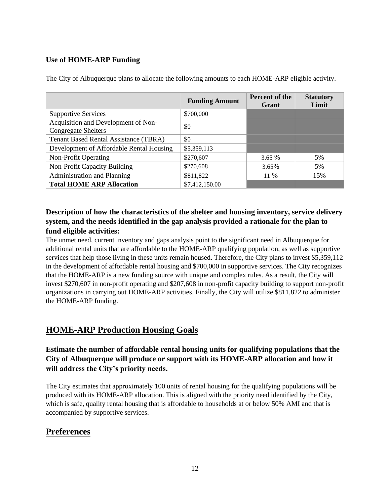## **Use of HOME-ARP Funding**

|                                                                   | <b>Funding Amount</b> | <b>Percent of the</b><br>Grant | <b>Statutory</b><br>Limit |
|-------------------------------------------------------------------|-----------------------|--------------------------------|---------------------------|
| <b>Supportive Services</b>                                        | \$700,000             |                                |                           |
| Acquisition and Development of Non-<br><b>Congregate Shelters</b> | \$0                   |                                |                           |
| <b>Tenant Based Rental Assistance (TBRA)</b>                      | \$0                   |                                |                           |
| Development of Affordable Rental Housing                          | \$5,359,113           |                                |                           |
| <b>Non-Profit Operating</b>                                       | \$270,607             | $3.65\%$                       | 5%                        |
| Non-Profit Capacity Building                                      | \$270,608             | 3.65%                          | 5%                        |
| <b>Administration and Planning</b>                                | \$811,822             | 11 %                           | 15%                       |
| <b>Total HOME ARP Allocation</b>                                  | \$7,412,150.00        |                                |                           |

The City of Albuquerque plans to allocate the following amounts to each HOME-ARP eligible activity.

## **Description of how the characteristics of the shelter and housing inventory, service delivery system, and the needs identified in the gap analysis provided a rationale for the plan to fund eligible activities:**

The unmet need, current inventory and gaps analysis point to the significant need in Albuquerque for additional rental units that are affordable to the HOME-ARP qualifying population, as well as supportive services that help those living in these units remain housed. Therefore, the City plans to invest \$5,359,112 in the development of affordable rental housing and \$700,000 in supportive services. The City recognizes that the HOME-ARP is a new funding source with unique and complex rules. As a result, the City will invest \$270,607 in non-profit operating and \$207,608 in non-profit capacity building to support non-profit organizations in carrying out HOME-ARP activities. Finally, the City will utilize \$811,822 to administer the HOME-ARP funding.

## **HOME-ARP Production Housing Goals**

## **Estimate the number of affordable rental housing units for qualifying populations that the City of Albuquerque will produce or support with its HOME-ARP allocation and how it will address the City's priority needs.**

The City estimates that approximately 100 units of rental housing for the qualifying populations will be produced with its HOME-ARP allocation. This is aligned with the priority need identified by the City, which is safe, quality rental housing that is affordable to households at or below 50% AMI and that is accompanied by supportive services.

# **Preferences**